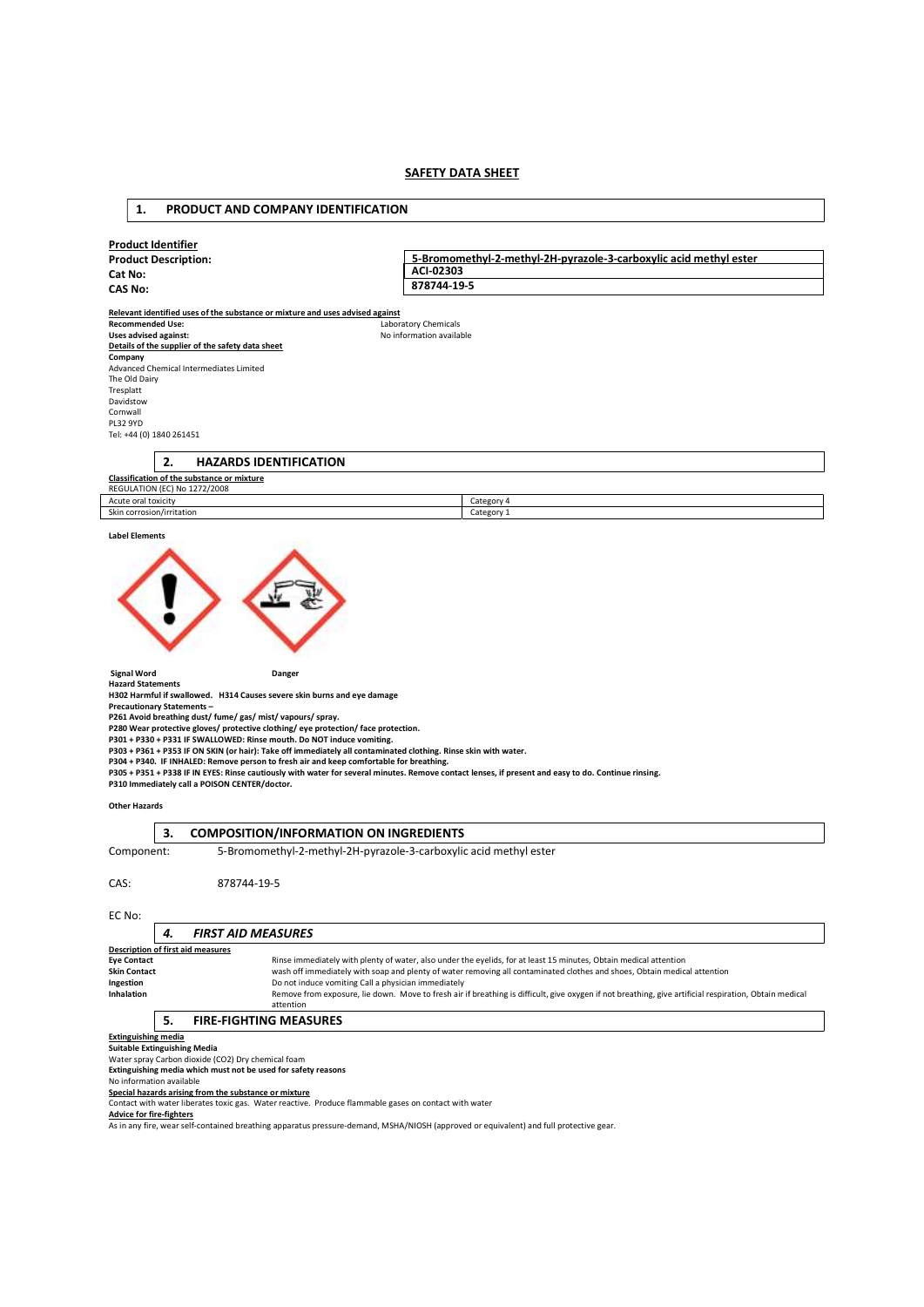### **SAFETY DATA SHEET**

### Product Identifier Product Description: Cat No: CAS No: Relevant identified uses of the substance or mixture and uses advised against Recommended Use:<br>
Uses advised against:<br>
Comments and Uses advised against:<br>
Recommended Uses and Uses and Uses and Uses and Uses and Uses and Uses and Uses and Uses and Uses and Uses and U No information available Details of the supplier of the safety data sheet **Company**<br>Advanced Chemical Intermediates Limited The Old Dairy Tresplatt Davidstow Cornwall PL32 9YD Tel: +44 (0) 1840 261451 2. HAZARDS IDENTIFICATION Classification of the substance or mixture 5-Bromomethyl-2-methyl-2H-pyrazole-3-carboxylic acid methyl ester ACI-02303 878744-19-5

| <b>REGULATION (EC) No 1272/2008</b> |          |
|-------------------------------------|----------|
| Acute oral toxicity                 | Category |
| $-1$<br>Skin corrosion/irritation   | Category |
|                                     |          |

### Label Elements



Signal Word **Danger** Danger

Hazard Statements H302 Harmful if swallowed. H314 Causes severe skin burns and eye damage

Precautionary Statements –

P261 Avoid breathing dust/ fume/ gas/ mist/ vapours/ spray.<br>P280 Wear protective gloves/ protective clothing/ eye protection/ face protection.<br>P301 + P330 + P331 IF SWALLOWED: Rinse mouth. Do NOT induce vomiting.

1. PRODUCT AND COMPANY IDENTIFICATION

P303 + P361 + P353 IF ON SKIN (or hair): Take off immediately all contaminated clothing. Rinse skin with water.<br>P304 + P340. IF INHALED: Remove person to fresh air and keep comfortable for breathing.

P305 + P351 + P338 IF IN EYES: Rinse cautiously with water for several minutes. Remove contact lenses, if present and easy to do. Continue rinsing. P310 Immediately call a POISON CENTER/doctor.

### Other Hazards

### 3. COMPOSITION/INFORMATION ON INGREDIENTS

Component: 5-Bromomethyl-2-methyl-2H-pyrazole-3-carboxylic acid methyl ester

CAS: 878744-19-5

EC No:

| ----                                     |  |                                                                                                                                                        |  |  |  |
|------------------------------------------|--|--------------------------------------------------------------------------------------------------------------------------------------------------------|--|--|--|
|                                          |  | <b>FIRST AID MEASURES</b>                                                                                                                              |  |  |  |
| <b>Description of first aid measures</b> |  |                                                                                                                                                        |  |  |  |
| <b>Eye Contact</b>                       |  | Rinse immediately with plenty of water, also under the eyelids, for at least 15 minutes, Obtain medical attention                                      |  |  |  |
| Skin Contact                             |  | wash off immediately with soap and plenty of water removing all contaminated clothes and shoes. Obtain medical attention                               |  |  |  |
| Ingestion                                |  | Do not induce vomiting Call a physician immediately                                                                                                    |  |  |  |
| <b>Inhalation</b>                        |  | Remove from exposure, lie down. Move to fresh air if breathing is difficult, give oxygen if not breathing, give artificial respiration, Obtain medical |  |  |  |
|                                          |  | attention                                                                                                                                              |  |  |  |
|                                          |  | <b>FIRE-FIGHTING MEASURES</b>                                                                                                                          |  |  |  |

### Extinguishing media

Suitable Extinguishing Media

Water spray Carbon dioxide (CO2) Dry chemical foam

Extinguishing media which must not be used for safety reasons

No information available

Special hazards arising from the substance or mixture

Contact with water liberates toxic gas. Water reactive. Produce flammable gases on contact with water

Advice for fire-fighters

As in any fire, wear self-contained breathing apparatus pressure-demand, MSHA/NIOSH (approved or equivalent) and full protective gear.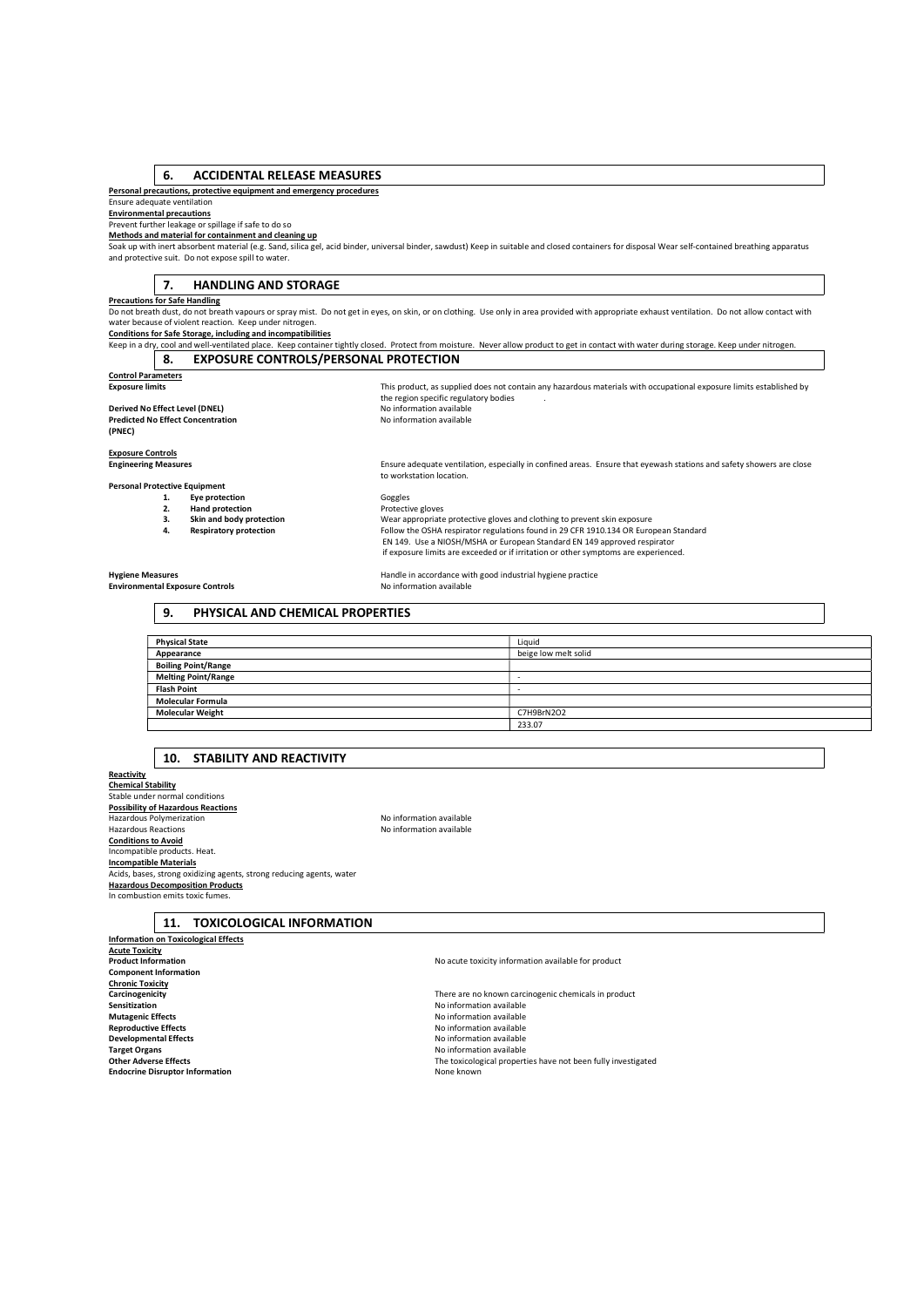### 6. ACCIDENTAL RELEASE MEASURES

### Personal precautions, protective equipment and emergency procedures

### Ensure adequate ventilation Environmental precautions

Prevent further leakage or spillage if safe to do so

### Methods and material for containment and cleaning up

Soak up with inert absorbent material (e.g. Sand, silica gel, acid binder, universal binder, sawdust) Keep in suitable and closed containers for disposal Wear self-contained breathing apparatus and protective suit. Do not expose spill to water.

### 7. HANDLING AND STORAGE

### Precautions for Safe Handling

Do not breath dust, do not breath vapours or spray mist. Do not get in eyes, on skin, or on clothing. Use only in area provided with appropriate exhaust ventilation. Do not allow contact with<br>water because of violent react

Conditions for Safe Storage, including and incompatibilities

Keep in a dry, cool and well-ventilated place. Keep container tightly closed. Protect from moisture. Never allow product to get in contact with water during storage. Keep under nitrogen 8. EXPOSURE CONTROLS/PERSONAL PROTECTION

to workstation location.

# **Control Parameters**<br>Exposure limits

Derived No Effect Level (DNEL) No information available **Predicted No Effect Concentration** Noinformation available (PNEC)

Exposure limits and this product, as supplied does not contain any hazardous materials with occupational exposure limits established by the region specific regulatory bodies ... in the region specific regulatory bodies ...

Engineering Measures Ensure adequate ventilation, especially in confined areas. Ensure that eyewash stations and safety showers are close

# **Exposure Controls<br>Engineering Measures**

Personal Protective Equipment<br>1. Eye prote

1. Eye protection and the control of Goggles<br>
2. Hand protection **Control of Control Protective gloves**<br>
1. Skin and body protection **Control Control Control Control Control Control Control Control Control Control Control Hand protection<br>Skin and body protection** 3. Skin and body protection Wear appropriate protective gloves and clothing to prevent skin exposure<br>4. Respiratory protection **American** Follow the OSHA respirator regulations found in 29 CFR 1910.134 OR Euro Follow the OSHA respirator regulations found in 29 CFR 1910.134 OR European Standard EN 149. Use a NIOSH/MSHA or European Standard EN 149 approved respirator if exposure limits are exceeded or if irritation or other symptoms are experienced.

Environmental Exposure Controls

Hygiene Measures<br> **Handle in accordance with good industrial hygiene practice**<br>
No information available

### 9. PHYSICAL AND CHEMICAL PROPERTIES

| <b>Physical State</b>      | Liquid               |
|----------------------------|----------------------|
| Appearance                 | beige low melt solid |
| <b>Boiling Point/Range</b> |                      |
| <b>Melting Point/Range</b> |                      |
| <b>Flash Point</b>         | ×                    |
| <b>Molecular Formula</b>   |                      |
| <b>Molecular Weight</b>    | C7H9BrN2O2           |
|                            | 233.07               |

### 10. STABILITY AND REACTIVITY

**Reactivity** Chemical Stability Stable under normal conditions Possibility of Hazardous Reactions Hazardous Polymerization<br>
Hazardous Reactions<br>
Hazardous Reactions Conditions to Avoid Incompatible products. Heat. Incompatible Materials **Acids, bases, strong oxidizing agents, strong reducing agents, water** Hazardous Decomposition Products In combustion emits toxic fume

No information available

## 11. TOXICOLOGICAL INFORMATION

Information on Toxicological Effects **Acute Toxicity**<br>Product Information Component Information Chronic Toxicity Sensitization<br>
Sensitization<br>
Mutagenic Effects<br>
Mutagenic Effects Mutagenic Effects<br> **Mutagenic Effects Reproductive Effects Reproductive Effects No information available** Reproductive Effects<br>
Reproductive Effects<br>
No information available<br>
No information available **Developmental Effects**<br> **Conserversity Conserversity Conserversity Conserversity Conserversity Conserversity Conserversity Conserversity** Target Organs No information available<br>
Target Organs No information available<br>
Other Adverse Effects **Endocrine Disruptor Information** 

No acute toxicity information available for product

Carcinogenicity **Carcinogenicity** There are no known carcinogenic chemicals in product<br> **Carcinogenicity** There are no known carcinogenic chemicals in product<br>
No information available The toxicological properties have not been fully investigated None known